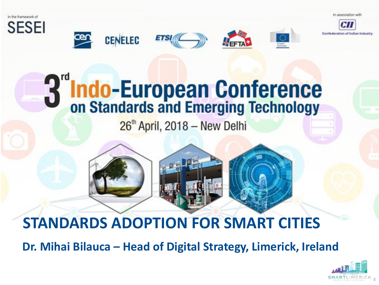In association with



















# **Indo-European Conference**<br>on Standards and Emerging Technology

 $26<sup>th</sup>$  April, 2018 - New Delhi

# **STANDARDS ADOPTION FOR SMART CITIES**

**Dr. Mihai Bilauca – Head of Digital Strategy, Limerick, Ireland**

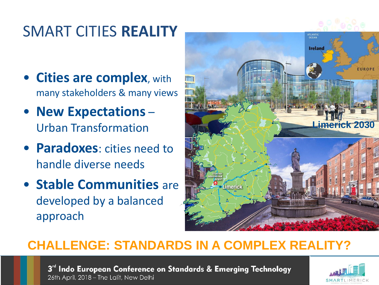#### SMART CITIES **REALITY**

- **Cities are complex**, with many stakeholders & many views
- **New Expectations** Urban Transformation
- **Paradoxes**: cities need to handle diverse needs
- **Stable Communities** are developed by a balanced approach



#### **CHALLENGE: STANDARDS IN A COMPLEX REALITY?**

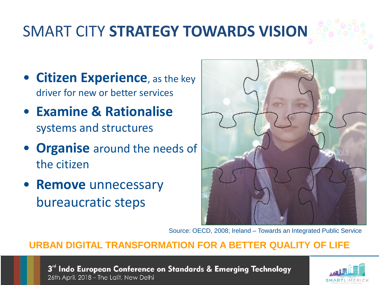## SMART CITY **STRATEGY TOWARDS VISION**

- **Citizen Experience**, as the key driver for new or better services
- **Examine & Rationalise**  systems and structures
- **Organise** around the needs of the citizen
- **Remove** unnecessary bureaucratic steps



Source: OECD, 2008; Ireland – Towards an Integrated Public Service

#### **URBAN DIGITAL TRANSFORMATION FOR A BETTER QUALITY OF LIFE**

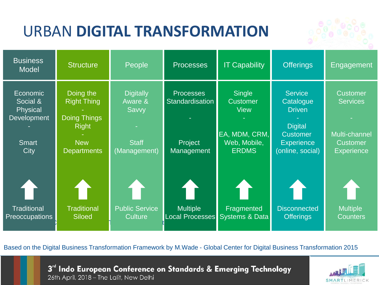## URBAN **DIGITAL TRANSFORMATION**



| <b>Business</b><br><b>Model</b>                                                | <b>Structure</b>                                                                                           | People                                                               | <b>Processes</b>                                                    | <b>IT Capability</b>                                                                             | <b>Offerings</b>                                                                                                           | Engagement                                                                                  |
|--------------------------------------------------------------------------------|------------------------------------------------------------------------------------------------------------|----------------------------------------------------------------------|---------------------------------------------------------------------|--------------------------------------------------------------------------------------------------|----------------------------------------------------------------------------------------------------------------------------|---------------------------------------------------------------------------------------------|
| Economic<br>Social &<br><b>Physical</b><br>Development<br><b>Smart</b><br>City | Doing the<br><b>Right Thing</b><br><b>Doing Things</b><br><b>Right</b><br><b>New</b><br><b>Departments</b> | <b>Digitally</b><br>Aware &<br>Savvy<br><b>Staff</b><br>(Management) | <b>Processes</b><br><b>Standardisation</b><br>Project<br>Management | <b>Single</b><br><b>Customer</b><br><b>View</b><br>EA, MDM, CRM,<br>Web, Mobile,<br><b>ERDMS</b> | <b>Service</b><br>Catalogue<br><b>Driven</b><br><b>Digital</b><br><b>Customer</b><br><b>Experience</b><br>(online, social) | <b>Customer</b><br><b>Services</b><br>Multi-channel<br><b>Customer</b><br><b>Experience</b> |
| <b>Traditional</b><br><b>Preoccupations</b>                                    | <b>Traditional</b><br><b>Siloed</b>                                                                        | <b>Public Service</b><br><b>Culture</b>                              | 1 Ì<br><b>Multiple</b><br>Local Processes                           | Fragmented<br>Systems & Data                                                                     | <b>Disconnected</b><br><b>Offerings</b>                                                                                    | <b>Multiple</b><br><b>Counters</b>                                                          |

Based on the Digital Business Transformation Framework by M.Wade - Global Center for Digital Business Transformation 2015

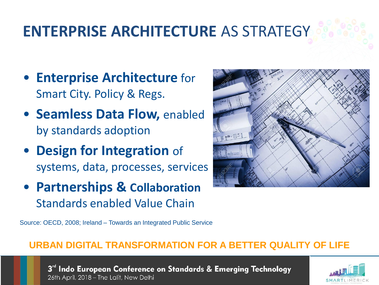## **ENTERPRISE ARCHITECTURE** AS STRATEGY

- **Enterprise Architecture** for Smart City. Policy & Regs.
- **Seamless Data Flow,** enabled by standards adoption
- **Design for Integration** of systems, data, processes, services
- **Partnerships & Collaboration** Standards enabled Value Chain



Source: OECD, 2008; Ireland – Towards an Integrated Public Service

#### **URBAN DIGITAL TRANSFORMATION FOR A BETTER QUALITY OF LIFE**

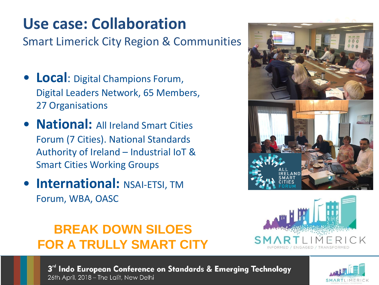#### **Use case: Collaboration**

Smart Limerick City Region & Communities

- **Local**: Digital Champions Forum, Digital Leaders Network, 65 Members, 27 Organisations
- **National:** All Ireland Smart Cities Forum (7 Cities). National Standards Authority of Ireland – Industrial IoT & Smart Cities Working Groups
- **International: NSAI-ETSI, TM** Forum, WBA, OASC





#### **BREAK DOWN SILOES FOR A TRULLY SMART CITY**

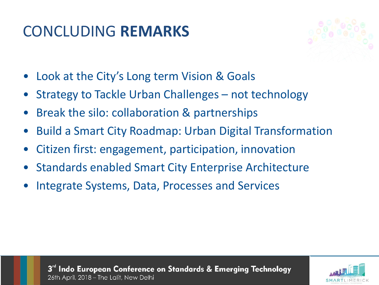#### CONCLUDING **REMARKS**



- Look at the City's Long term Vision & Goals
- Strategy to Tackle Urban Challenges not technology
- Break the silo: collaboration & partnerships
- Build a Smart City Roadmap: Urban Digital Transformation
- Citizen first: engagement, participation, innovation
- Standards enabled Smart City Enterprise Architecture
- Integrate Systems, Data, Processes and Services